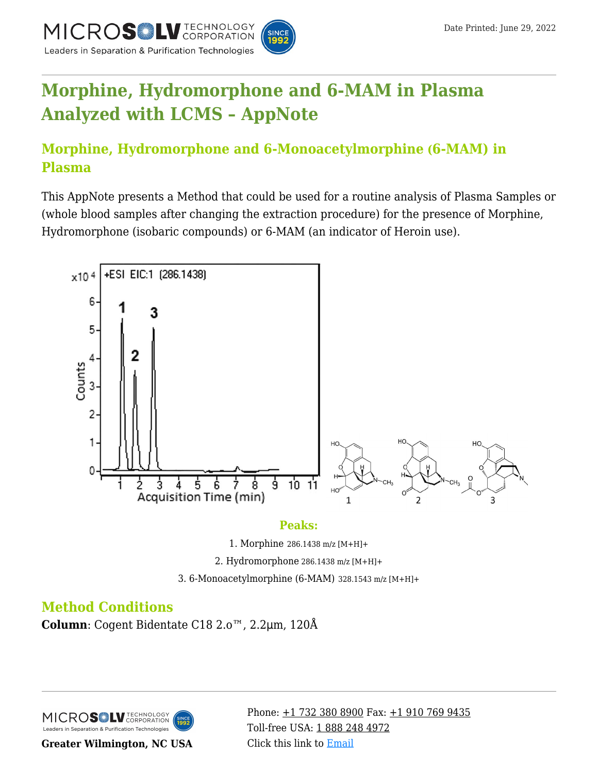

# **[Morphine, Hydromorphone and 6-MAM in Plasma](https://kb.mtc-usa.com/article/aa-02381/46/) [Analyzed with LCMS – AppNote](https://kb.mtc-usa.com/article/aa-02381/46/)**

# **Morphine, Hydromorphone and 6-Monoacetylmorphine (6-MAM) in Plasma**

This AppNote presents a Method that could be used for a routine analysis of Plasma Samples or (whole blood samples after changing the extraction procedure) for the presence of Morphine, Hydromorphone (isobaric compounds) or 6-MAM (an indicator of Heroin use).



#### **Peaks:**

1. Morphine 286.1438 m/z [M+H]+

2. Hydromorphone 286.1438 m/z [M+H]+

3. 6-Monoacetylmorphine (6-MAM) 328.1543 m/z [M+H]+

# **Method Conditions**

**Column**: Cogent Bidentate C18 2.o™, 2.2μm, 120Å

MICROS<sup>OL</sup> LU TECHNOLOGY Leaders in Separation & Purification Technologies

**Greater Wilmington, NC USA**

Phone:  $\pm$ 1 732 380 8900 Fax:  $\pm$ 1 910 769 9435 Toll-free USA: [1 888 248 4972](#page--1-0) Click this link to [Email](https://www.mtc-usa.com/contact)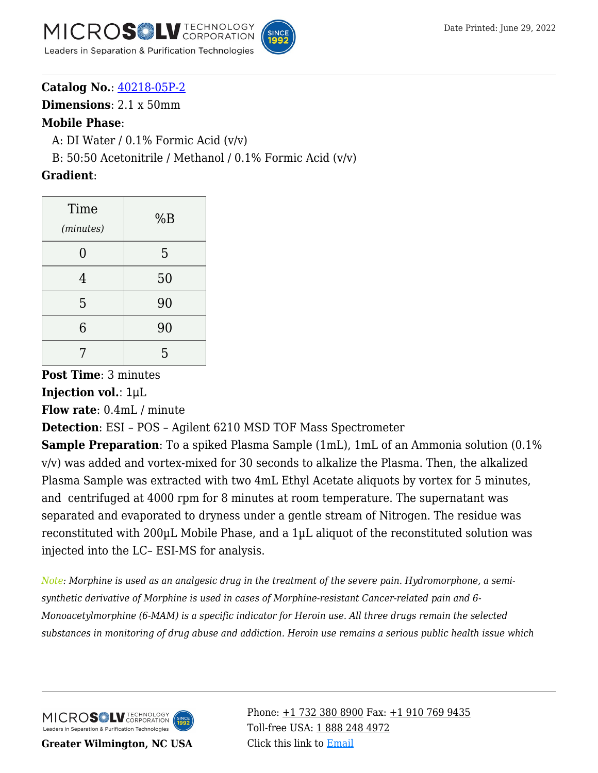



**Catalog No.**: [40218-05P-2](https://www.mtc-usa.com/product-details/id/4115510)

**Dimensions**: 2.1 x 50mm

#### **Mobile Phase**:

A: DI Water  $/$  0.1% Formic Acid  $(v/v)$ 

B:  $50:50$  Acetonitrile / Methanol /  $0.1\%$  Formic Acid (v/v)

### **Gradient**:

| Time<br>(minutes) | %B |
|-------------------|----|
| $\overline{0}$    | 5  |
| 4                 | 50 |
| 5                 | 90 |
| 6                 | 90 |
| 7                 | 5  |

**Post Time**: 3 minutes

**Injection vol.**: 1μL

**Flow rate**: 0.4mL / minute

**Detection**: ESI – POS – Agilent 6210 MSD TOF Mass Spectrometer

**Sample Preparation**: To a spiked Plasma Sample (1mL), 1mL of an Ammonia solution (0.1% v/v) was added and vortex-mixed for 30 seconds to alkalize the Plasma. Then, the alkalized Plasma Sample was extracted with two 4mL Ethyl Acetate aliquots by vortex for 5 minutes, and centrifuged at 4000 rpm for 8 minutes at room temperature. The supernatant was separated and evaporated to dryness under a gentle stream of Nitrogen. The residue was reconstituted with 200µL Mobile Phase, and a 1µL aliquot of the reconstituted solution was injected into the LC– ESI-MS for analysis.

*Note: Morphine is used as an analgesic drug in the treatment of the severe pain. Hydromorphone, a semisynthetic derivative of Morphine is used in cases of Morphine-resistant Cancer-related pain and 6- Monoacetylmorphine (6-MAM) is a specific indicator for Heroin use. All three drugs remain the selected substances in monitoring of drug abuse and addiction. Heroin use remains a serious public health issue which*

MICROS LU TECHNOLOGY Leaders in Separation & Purification Technologies

**Greater Wilmington, NC USA**

Phone:  $\pm$ 1 732 380 8900 Fax:  $\pm$ 1 910 769 9435 Toll-free USA: [1 888 248 4972](#page--1-0) Click this link to [Email](https://www.mtc-usa.com/contact)